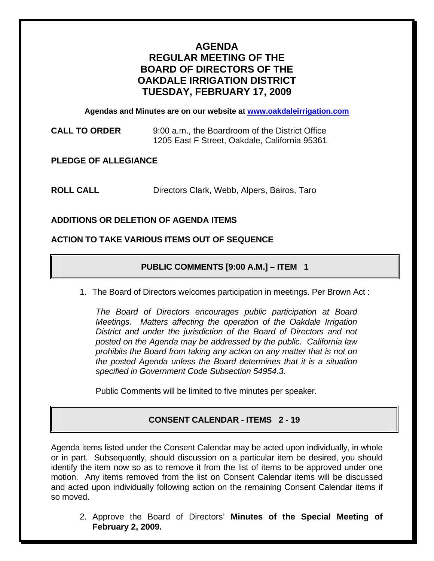# **AGENDA REGULAR MEETING OF THE BOARD OF DIRECTORS OF THE OAKDALE IRRIGATION DISTRICT TUESDAY, FEBRUARY 17, 2009**

**Agendas and Minutes are on our website at www.oakdaleirrigation.com**

**CALL TO ORDER** 9:00 a.m., the Boardroom of the District Office 1205 East F Street, Oakdale, California 95361

**PLEDGE OF ALLEGIANCE** 

**ROLL CALL** Directors Clark, Webb, Alpers, Bairos, Taro

## **ADDITIONS OR DELETION OF AGENDA ITEMS**

### **ACTION TO TAKE VARIOUS ITEMS OUT OF SEQUENCE**

## **PUBLIC COMMENTS [9:00 A.M.] – ITEM 1**

1. The Board of Directors welcomes participation in meetings. Per Brown Act :

*The Board of Directors encourages public participation at Board Meetings. Matters affecting the operation of the Oakdale Irrigation District and under the jurisdiction of the Board of Directors and not posted on the Agenda may be addressed by the public. California law prohibits the Board from taking any action on any matter that is not on the posted Agenda unless the Board determines that it is a situation specified in Government Code Subsection 54954.3.*

Public Comments will be limited to five minutes per speaker.

## **CONSENT CALENDAR - ITEMS 2 - 19**

Agenda items listed under the Consent Calendar may be acted upon individually, in whole or in part. Subsequently, should discussion on a particular item be desired, you should identify the item now so as to remove it from the list of items to be approved under one motion. Any items removed from the list on Consent Calendar items will be discussed and acted upon individually following action on the remaining Consent Calendar items if so moved.

2. Approve the Board of Directors' **Minutes of the Special Meeting of February 2, 2009.**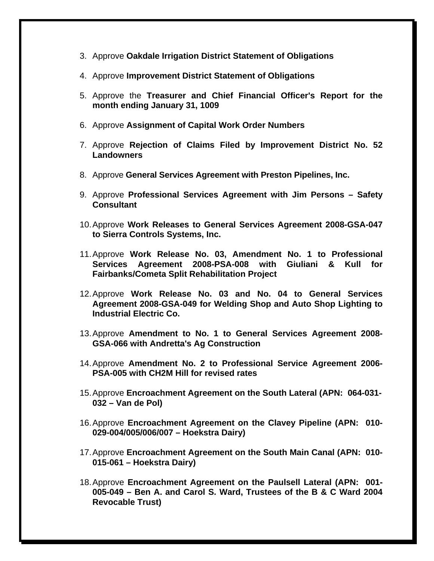- 3. Approve **Oakdale Irrigation District Statement of Obligations**
- 4. Approve **Improvement District Statement of Obligations**
- 5. Approve the **Treasurer and Chief Financial Officer's Report for the month ending January 31, 1009**
- 6. Approve **Assignment of Capital Work Order Numbers**
- 7. Approve **Rejection of Claims Filed by Improvement District No. 52 Landowners**
- 8. Approve **General Services Agreement with Preston Pipelines, Inc.**
- 9. Approve **Professional Services Agreement with Jim Persons Safety Consultant**
- 10. Approve **Work Releases to General Services Agreement 2008-GSA-047 to Sierra Controls Systems, Inc.**
- 11. Approve **Work Release No. 03, Amendment No. 1 to Professional Services Agreement 2008-PSA-008 with Giuliani & Kull for Fairbanks/Cometa Split Rehabilitation Project**
- 12. Approve **Work Release No. 03 and No. 04 to General Services Agreement 2008-GSA-049 for Welding Shop and Auto Shop Lighting to Industrial Electric Co.**
- 13. Approve **Amendment to No. 1 to General Services Agreement 2008- GSA-066 with Andretta's Ag Construction**
- 14. Approve **Amendment No. 2 to Professional Service Agreement 2006- PSA-005 with CH2M Hill for revised rates**
- 15. Approve **Encroachment Agreement on the South Lateral (APN: 064-031- 032 – Van de Pol)**
- 16. Approve **Encroachment Agreement on the Clavey Pipeline (APN: 010- 029-004/005/006/007 – Hoekstra Dairy)**
- 17. Approve **Encroachment Agreement on the South Main Canal (APN: 010- 015-061 – Hoekstra Dairy)**
- 18. Approve **Encroachment Agreement on the Paulsell Lateral (APN: 001- 005-049 – Ben A. and Carol S. Ward, Trustees of the B & C Ward 2004 Revocable Trust)**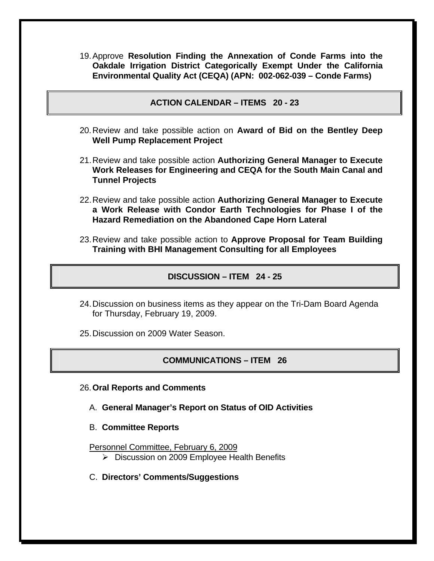- 19. Approve **Resolution Finding the Annexation of Conde Farms into the Oakdale Irrigation District Categorically Exempt Under the California Environmental Quality Act (CEQA) (APN: 002-062-039 – Conde Farms)**
	- **ACTION CALENDAR ITEMS 20 23**
- 20. Review and take possible action on **Award of Bid on the Bentley Deep Well Pump Replacement Project**
- 21. Review and take possible action **Authorizing General Manager to Execute Work Releases for Engineering and CEQA for the South Main Canal and Tunnel Projects**
- 22. Review and take possible action **Authorizing General Manager to Execute a Work Release with Condor Earth Technologies for Phase I of the Hazard Remediation on the Abandoned Cape Horn Lateral**
- 23. Review and take possible action to **Approve Proposal for Team Building Training with BHI Management Consulting for all Employees**

### **DISCUSSION – ITEM 24 - 25**

- 24. Discussion on business items as they appear on the Tri-Dam Board Agenda for Thursday, February 19, 2009.
- 25. Discussion on 2009 Water Season.

#### **COMMUNICATIONS – ITEM 26**

- 26. **Oral Reports and Comments**
	- A. **General Manager's Report on Status of OID Activities**
	- B. **Committee Reports**
	- Personnel Committee, February 6, 2009
		- ¾ Discussion on 2009 Employee Health Benefits
	- C. **Directors' Comments/Suggestions**